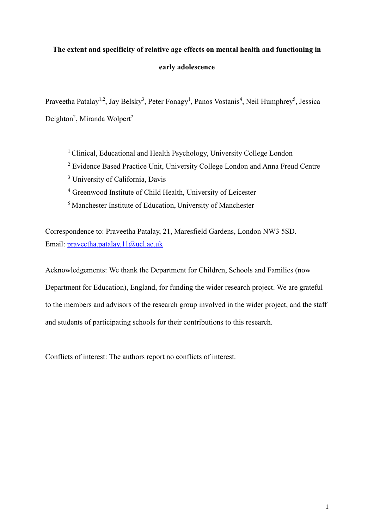## **The extent and specificity of relative age effects on mental health and functioning in early adolescence**

Praveetha Patalay<sup>1,2</sup>, Jay Belsky<sup>3</sup>, Peter Fonagy<sup>1</sup>, Panos Vostanis<sup>4</sup>, Neil Humphrey<sup>5</sup>, Jessica Deighton<sup>2</sup>, Miranda Wolpert<sup>2</sup>

<sup>1</sup> Clinical, Educational and Health Psychology, University College London <sup>2</sup> Evidence Based Practice Unit, University College London and Anna Freud Centre <sup>3</sup> University of California, Davis <sup>4</sup> Greenwood Institute of Child Health, University of Leicester <sup>5</sup>Manchester Institute of Education, University of Manchester

Correspondence to: Praveetha Patalay, 21, Maresfield Gardens, London NW3 5SD. Email: [praveetha.patalay.11@ucl.ac.uk](mailto:praveetha.patalay.11@ucl.ac.uk)

Acknowledgements: We thank the Department for Children, Schools and Families (now Department for Education), England, for funding the wider research project. We are grateful to the members and advisors of the research group involved in the wider project, and the staff and students of participating schools for their contributions to this research.

Conflicts of interest: The authors report no conflicts of interest.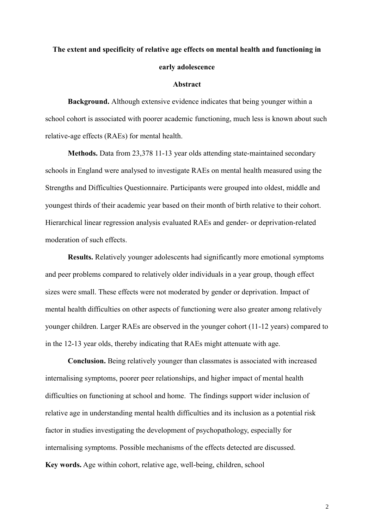# **The extent and specificity of relative age effects on mental health and functioning in early adolescence**

#### **Abstract**

**Background.** Although extensive evidence indicates that being younger within a school cohort is associated with poorer academic functioning, much less is known about such relative-age effects (RAEs) for mental health.

**Methods.** Data from 23,378 11-13 year olds attending state-maintained secondary schools in England were analysed to investigate RAEs on mental health measured using the Strengths and Difficulties Questionnaire. Participants were grouped into oldest, middle and youngest thirds of their academic year based on their month of birth relative to their cohort. Hierarchical linear regression analysis evaluated RAEs and gender- or deprivation-related moderation of such effects.

**Results.** Relatively younger adolescents had significantly more emotional symptoms and peer problems compared to relatively older individuals in a year group, though effect sizes were small. These effects were not moderated by gender or deprivation. Impact of mental health difficulties on other aspects of functioning were also greater among relatively younger children. Larger RAEs are observed in the younger cohort (11-12 years) compared to in the 12-13 year olds, thereby indicating that RAEs might attenuate with age.

**Conclusion.** Being relatively younger than classmates is associated with increased internalising symptoms, poorer peer relationships, and higher impact of mental health difficulties on functioning at school and home. The findings support wider inclusion of relative age in understanding mental health difficulties and its inclusion as a potential risk factor in studies investigating the development of psychopathology, especially for internalising symptoms. Possible mechanisms of the effects detected are discussed. **Key words.** Age within cohort, relative age, well-being, children, school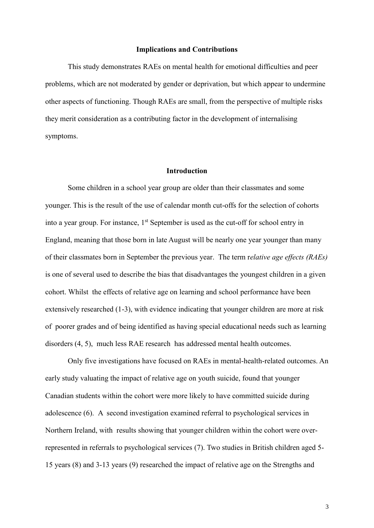#### **Implications and Contributions**

This study demonstrates RAEs on mental health for emotional difficulties and peer problems, which are not moderated by gender or deprivation, but which appear to undermine other aspects of functioning. Though RAEs are small, from the perspective of multiple risks they merit consideration as a contributing factor in the development of internalising symptoms.

#### **Introduction**

Some children in a school year group are older than their classmates and some younger. This is the result of the use of calendar month cut-offs for the selection of cohorts into a year group. For instance, 1<sup>st</sup> September is used as the cut-off for school entry in England, meaning that those born in late August will be nearly one year younger than many of their classmates born in September the previous year. The term r*elative age effects (RAEs)*  is one of several used to describe the bias that disadvantages the youngest children in a given cohort. Whilst the effects of relative age on learning and school performance have been extensively researched [\(1-3\)](#page-15-0), with evidence indicating that younger children are more at risk of poorer grades and of being identified as having special educational needs such as learning disorders [\(4,](#page-15-1) [5\)](#page-15-2), much less RAE research has addressed mental health outcomes.

Only five investigations have focused on RAEs in mental-health-related outcomes. An early study valuating the impact of relative age on youth suicide, found that younger Canadian students within the cohort were more likely to have committed suicide during adolescence [\(6\)](#page-15-3). A second investigation examined referral to psychological services in Northern Ireland, with results showing that younger children within the cohort were overrepresented in referrals to psychological services [\(7\)](#page-15-4). Two studies in British children aged 5- 15 years [\(8\)](#page-15-5) and 3-13 years [\(9\)](#page-15-6) researched the impact of relative age on the Strengths and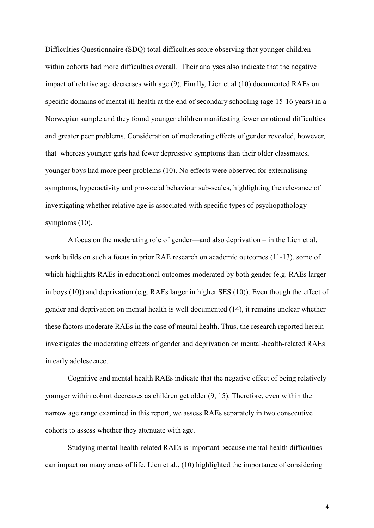Difficulties Questionnaire (SDQ) total difficulties score observing that younger children within cohorts had more difficulties overall. Their analyses also indicate that the negative impact of relative age decreases with age [\(9\)](#page-15-6). Finally, Lien et al [\(10\)](#page-15-7) documented RAEs on specific domains of mental ill-health at the end of secondary schooling (age 15-16 years) in a Norwegian sample and they found younger children manifesting fewer emotional difficulties and greater peer problems. Consideration of moderating effects of gender revealed, however, that whereas younger girls had fewer depressive symptoms than their older classmates, younger boys had more peer problems [\(10\)](#page-15-7). No effects were observed for externalising symptoms, hyperactivity and pro-social behaviour sub-scales, highlighting the relevance of investigating whether relative age is associated with specific types of psychopathology symptoms [\(10\)](#page-15-7).

A focus on the moderating role of gender—and also deprivation – in the Lien et al. work builds on such a focus in prior RAE research on academic outcomes [\(11-13\)](#page-15-8), some of which highlights RAEs in educational outcomes moderated by both gender (e.g. RAEs larger in boys (10)) and deprivation (e.g. RAEs larger in higher SES (10)). Even though the effect of gender and deprivation on mental health is well documented [\(14\)](#page-15-9), it remains unclear whether these factors moderate RAEs in the case of mental health. Thus, the research reported herein investigates the moderating effects of gender and deprivation on mental-health-related RAEs in early adolescence.

Cognitive and mental health RAEs indicate that the negative effect of being relatively younger within cohort decreases as children get older [\(9,](#page-15-6) [15\)](#page-15-10). Therefore, even within the narrow age range examined in this report, we assess RAEs separately in two consecutive cohorts to assess whether they attenuate with age.

Studying mental-health-related RAEs is important because mental health difficulties can impact on many areas of life. Lien et al., [\(10\)](#page-15-7) highlighted the importance of considering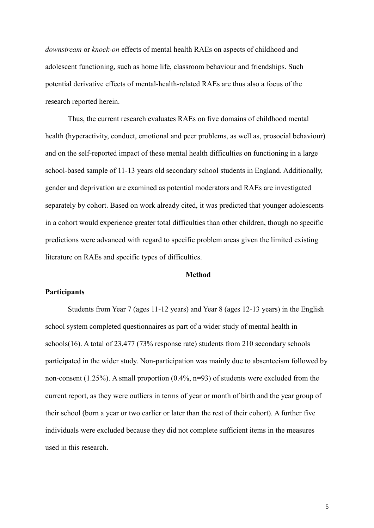*downstream* or *knock-on* effects of mental health RAEs on aspects of childhood and adolescent functioning, such as home life, classroom behaviour and friendships. Such potential derivative effects of mental-health-related RAEs are thus also a focus of the research reported herein.

Thus, the current research evaluates RAEs on five domains of childhood mental health (hyperactivity, conduct, emotional and peer problems, as well as, prosocial behaviour) and on the self-reported impact of these mental health difficulties on functioning in a large school-based sample of 11-13 years old secondary school students in England. Additionally, gender and deprivation are examined as potential moderators and RAEs are investigated separately by cohort. Based on work already cited, it was predicted that younger adolescents in a cohort would experience greater total difficulties than other children, though no specific predictions were advanced with regard to specific problem areas given the limited existing literature on RAEs and specific types of difficulties.

### **Method**

## **Participants**

Students from Year 7 (ages 11-12 years) and Year 8 (ages 12-13 years) in the English school system completed questionnaires as part of a wider study of mental health in schools[\(16\)](#page-15-11). A total of 23,477 (73% response rate) students from 210 secondary schools participated in the wider study. Non-participation was mainly due to absenteeism followed by non-consent (1.25%). A small proportion (0.4%, n=93) of students were excluded from the current report, as they were outliers in terms of year or month of birth and the year group of their school (born a year or two earlier or later than the rest of their cohort). A further five individuals were excluded because they did not complete sufficient items in the measures used in this research.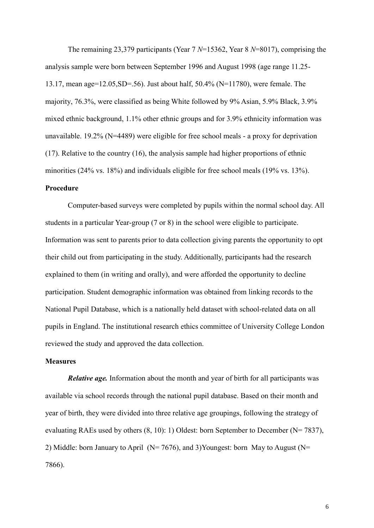The remaining 23,379 participants (Year 7 *N*=15362, Year 8 *N*=8017), comprising the analysis sample were born between September 1996 and August 1998 (age range 11.25- 13.17, mean age=12.05,SD=.56). Just about half, 50.4% (N=11780), were female. The majority, 76.3%, were classified as being White followed by 9% Asian, 5.9% Black, 3.9% mixed ethnic background, 1.1% other ethnic groups and for 3.9% ethnicity information was unavailable. 19.2% (N=4489) were eligible for free school meals - a proxy for deprivation [\(17\)](#page-15-12). Relative to the country (16), the analysis sample had higher proportions of ethnic minorities (24% vs. 18%) and individuals eligible for free school meals (19% vs. 13%).

## **Procedure**

Computer-based surveys were completed by pupils within the normal school day. All students in a particular Year-group (7 or 8) in the school were eligible to participate. Information was sent to parents prior to data collection giving parents the opportunity to opt their child out from participating in the study. Additionally, participants had the research explained to them (in writing and orally), and were afforded the opportunity to decline participation. Student demographic information was obtained from linking records to the National Pupil Database, which is a nationally held dataset with school-related data on all pupils in England. The institutional research ethics committee of University College London reviewed the study and approved the data collection.

## **Measures**

*Relative age.* Information about the month and year of birth for all participants was available via school records through the national pupil database. Based on their month and year of birth, they were divided into three relative age groupings, following the strategy of evaluating RAEs used by others  $(8, 10)$  $(8, 10)$ : 1) Oldest: born September to December (N= 7837), 2) Middle: born January to April ( $N= 7676$ ), and 3)Youngest: born May to August ( $N=$ 7866).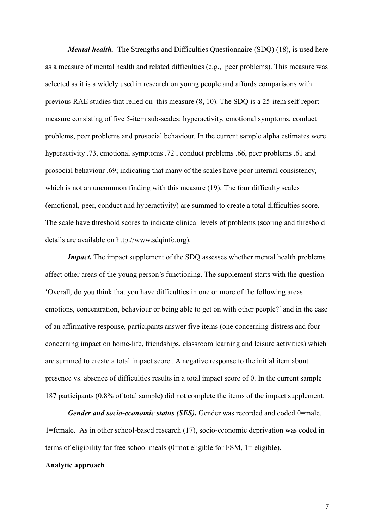*Mental health.* The Strengths and Difficulties Questionnaire (SDQ) [\(18\)](#page-15-13), is used here as a measure of mental health and related difficulties (e.g., peer problems). This measure was selected as it is a widely used in research on young people and affords comparisons with previous RAE studies that relied on this measure [\(8,](#page-15-5) [10\)](#page-15-7). The SDQ is a 25-item self-report measure consisting of five 5-item sub-scales: hyperactivity, emotional symptoms, conduct problems, peer problems and prosocial behaviour. In the current sample alpha estimates were hyperactivity .73, emotional symptoms .72 , conduct problems .66, peer problems .61 and prosocial behaviour .69; indicating that many of the scales have poor internal consistency, which is not an uncommon finding with this measure [\(19\)](#page-15-14). The four difficulty scales (emotional, peer, conduct and hyperactivity) are summed to create a total difficulties score. The scale have threshold scores to indicate clinical levels of problems (scoring and threshold details are available on http://www.sdqinfo.org).

*Impact.* The impact supplement of the SDQ assesses whether mental health problems affect other areas of the young person's functioning. The supplement starts with the question 'Overall, do you think that you have difficulties in one or more of the following areas: emotions, concentration, behaviour or being able to get on with other people?' and in the case of an affirmative response, participants answer five items (one concerning distress and four concerning impact on home-life, friendships, classroom learning and leisure activities) which are summed to create a total impact score.. A negative response to the initial item about presence vs. absence of difficulties results in a total impact score of 0. In the current sample 187 participants (0.8% of total sample) did not complete the items of the impact supplement.

*Gender and socio-economic status (SES).* Gender was recorded and coded 0=male, 1=female. As in other school-based research [\(17\)](#page-15-12), socio-economic deprivation was coded in terms of eligibility for free school meals (0=not eligible for FSM, 1= eligible).

## **Analytic approach**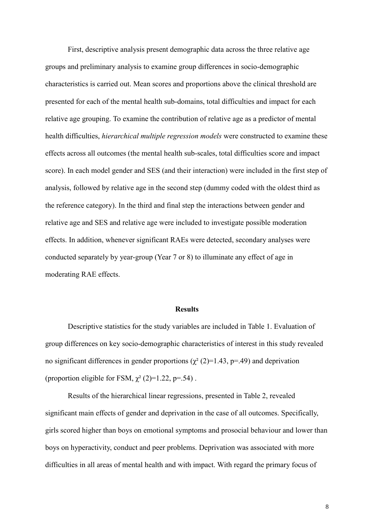First, descriptive analysis present demographic data across the three relative age groups and preliminary analysis to examine group differences in socio-demographic characteristics is carried out. Mean scores and proportions above the clinical threshold are presented for each of the mental health sub-domains, total difficulties and impact for each relative age grouping. To examine the contribution of relative age as a predictor of mental health difficulties, *hierarchical multiple regression models* were constructed to examine these effects across all outcomes (the mental health sub-scales, total difficulties score and impact score). In each model gender and SES (and their interaction) were included in the first step of analysis, followed by relative age in the second step (dummy coded with the oldest third as the reference category). In the third and final step the interactions between gender and relative age and SES and relative age were included to investigate possible moderation effects. In addition, whenever significant RAEs were detected, secondary analyses were conducted separately by year-group (Year 7 or 8) to illuminate any effect of age in moderating RAE effects.

#### **Results**

Descriptive statistics for the study variables are included in Table 1. Evaluation of group differences on key socio-demographic characteristics of interest in this study revealed no significant differences in gender proportions ( $\chi^2$  (2)=1.43, p=.49) and deprivation (proportion eligible for FSM,  $\chi^2$  (2)=1.22, p=.54).

Results of the hierarchical linear regressions, presented in Table 2, revealed significant main effects of gender and deprivation in the case of all outcomes. Specifically, girls scored higher than boys on emotional symptoms and prosocial behaviour and lower than boys on hyperactivity, conduct and peer problems. Deprivation was associated with more difficulties in all areas of mental health and with impact. With regard the primary focus of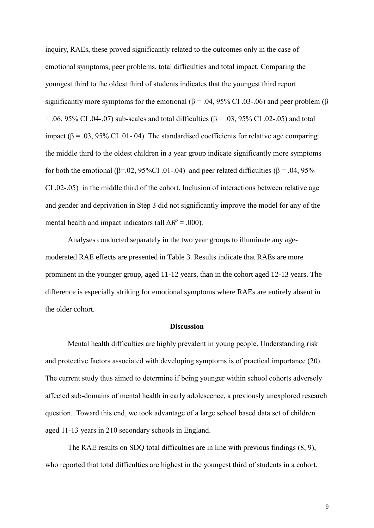inquiry, RAEs, these proved significantly related to the outcomes only in the case of emotional symptoms, peer problems, total difficulties and total impact. Comparing the youngest third to the oldest third of students indicates that the youngest third report significantly more symptoms for the emotional ( $\beta$  = .04, 95% CI .03-.06) and peer problem ( $\beta$  $= .06, 95\%$  CI .04-.07) sub-scales and total difficulties (β = .03, 95% CI .02-.05) and total impact ( $\beta$  = .03, 95% CI .01-.04). The standardised coefficients for relative age comparing the middle third to the oldest children in a year group indicate significantly more symptoms for both the emotional ( $\beta$ =.02, 95%CI .01-.04) and peer related difficulties ( $\beta$  = .04, 95% CI .02-.05) in the middle third of the cohort. Inclusion of interactions between relative age and gender and deprivation in Step 3 did not significantly improve the model for any of the mental health and impact indicators (all  $\Delta R^2$  = .000)*.* 

Analyses conducted separately in the two year groups to illuminate any agemoderated RAE effects are presented in Table 3. Results indicate that RAEs are more prominent in the younger group, aged 11-12 years, than in the cohort aged 12-13 years. The difference is especially striking for emotional symptoms where RAEs are entirely absent in the older cohort.

## **Discussion**

Mental health difficulties are highly prevalent in young people. Understanding risk and protective factors associated with developing symptoms is of practical importance [\(20\)](#page-15-15). The current study thus aimed to determine if being younger within school cohorts adversely affected sub-domains of mental health in early adolescence, a previously unexplored research question. Toward this end, we took advantage of a large school based data set of children aged 11-13 years in 210 secondary schools in England.

The RAE results on SDQ total difficulties are in line with previous findings [\(8,](#page-15-5) [9\)](#page-15-6), who reported that total difficulties are highest in the youngest third of students in a cohort.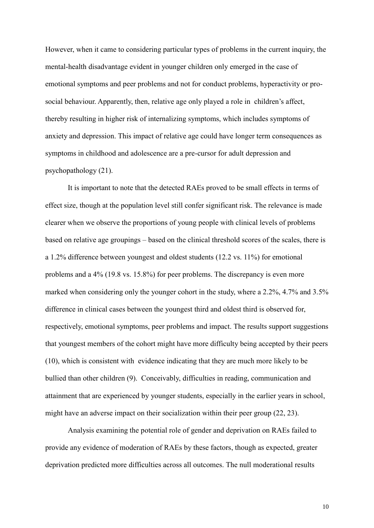However, when it came to considering particular types of problems in the current inquiry, the mental-health disadvantage evident in younger children only emerged in the case of emotional symptoms and peer problems and not for conduct problems, hyperactivity or prosocial behaviour. Apparently, then, relative age only played a role in children's affect, thereby resulting in higher risk of internalizing symptoms, which includes symptoms of anxiety and depression. This impact of relative age could have longer term consequences as symptoms in childhood and adolescence are a pre-cursor for adult depression and psychopathology [\(21\)](#page-16-0).

It is important to note that the detected RAEs proved to be small effects in terms of effect size, though at the population level still confer significant risk. The relevance is made clearer when we observe the proportions of young people with clinical levels of problems based on relative age groupings – based on the clinical threshold scores of the scales, there is a 1.2% difference between youngest and oldest students (12.2 vs. 11%) for emotional problems and a 4% (19.8 vs. 15.8%) for peer problems. The discrepancy is even more marked when considering only the younger cohort in the study, where a 2.2%, 4.7% and 3.5% difference in clinical cases between the youngest third and oldest third is observed for, respectively, emotional symptoms, peer problems and impact. The results support suggestions that youngest members of the cohort might have more difficulty being accepted by their peers [\(10\)](#page-15-7), which is consistent with evidence indicating that they are much more likely to be bullied than other children [\(9\)](#page-15-6). Conceivably, difficulties in reading, communication and attainment that are experienced by younger students, especially in the earlier years in school, might have an adverse impact on their socialization within their peer group [\(22,](#page-16-1) [23\)](#page-16-2).

Analysis examining the potential role of gender and deprivation on RAEs failed to provide any evidence of moderation of RAEs by these factors, though as expected, greater deprivation predicted more difficulties across all outcomes. The null moderational results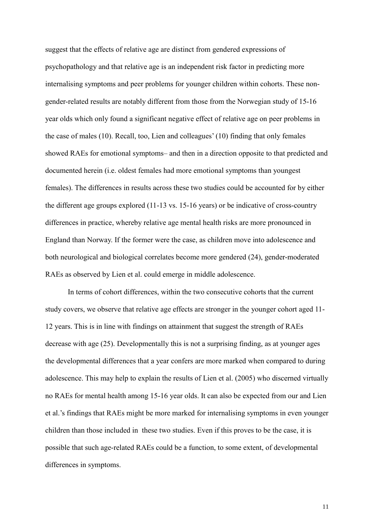suggest that the effects of relative age are distinct from gendered expressions of psychopathology and that relative age is an independent risk factor in predicting more internalising symptoms and peer problems for younger children within cohorts. These nongender-related results are notably different from those from the Norwegian study of 15-16 year olds which only found a significant negative effect of relative age on peer problems in the case of males [\(10\)](#page-15-7). Recall, too, Lien and colleagues' [\(10\)](#page-15-7) finding that only females showed RAEs for emotional symptoms– and then in a direction opposite to that predicted and documented herein (i.e. oldest females had more emotional symptoms than youngest females). The differences in results across these two studies could be accounted for by either the different age groups explored (11-13 vs. 15-16 years) or be indicative of cross-country differences in practice, whereby relative age mental health risks are more pronounced in England than Norway. If the former were the case, as children move into adolescence and both neurological and biological correlates become more gendered [\(24\)](#page-16-3), gender-moderated RAEs as observed by Lien et al. could emerge in middle adolescence.

In terms of cohort differences, within the two consecutive cohorts that the current study covers, we observe that relative age effects are stronger in the younger cohort aged 11- 12 years. This is in line with findings on attainment that suggest the strength of RAEs decrease with age [\(25\)](#page-16-4). Developmentally this is not a surprising finding, as at younger ages the developmental differences that a year confers are more marked when compared to during adolescence. This may help to explain the results of Lien et al. (2005) who discerned virtually no RAEs for mental health among 15-16 year olds. It can also be expected from our and Lien et al.'s findings that RAEs might be more marked for internalising symptoms in even younger children than those included in these two studies. Even if this proves to be the case, it is possible that such age-related RAEs could be a function, to some extent, of developmental differences in symptoms.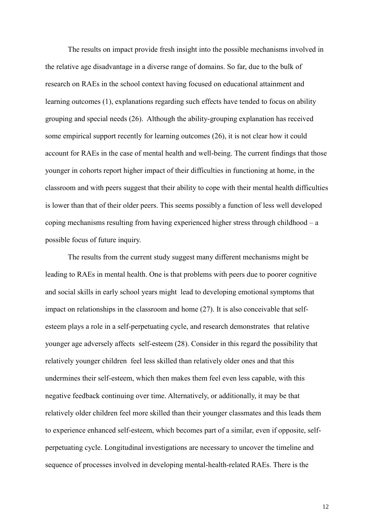The results on impact provide fresh insight into the possible mechanisms involved in the relative age disadvantage in a diverse range of domains. So far, due to the bulk of research on RAEs in the school context having focused on educational attainment and learning outcomes [\(1\)](#page-15-0), explanations regarding such effects have tended to focus on ability grouping and special needs [\(26\)](#page-16-5). Although the ability-grouping explanation has received some empirical support recently for learning outcomes [\(26\)](#page-16-5), it is not clear how it could account for RAEs in the case of mental health and well-being. The current findings that those younger in cohorts report higher impact of their difficulties in functioning at home, in the classroom and with peers suggest that their ability to cope with their mental health difficulties is lower than that of their older peers. This seems possibly a function of less well developed coping mechanisms resulting from having experienced higher stress through childhood – a possible focus of future inquiry.

The results from the current study suggest many different mechanisms might be leading to RAEs in mental health. One is that problems with peers due to poorer cognitive and social skills in early school years might lead to developing emotional symptoms that impact on relationships in the classroom and home [\(27\)](#page-16-6). It is also conceivable that selfesteem plays a role in a self-perpetuating cycle, and research demonstrates that relative younger age adversely affects self-esteem [\(28\)](#page-16-7). Consider in this regard the possibility that relatively younger children feel less skilled than relatively older ones and that this undermines their self-esteem, which then makes them feel even less capable, with this negative feedback continuing over time. Alternatively, or additionally, it may be that relatively older children feel more skilled than their younger classmates and this leads them to experience enhanced self-esteem, which becomes part of a similar, even if opposite, selfperpetuating cycle. Longitudinal investigations are necessary to uncover the timeline and sequence of processes involved in developing mental-health-related RAEs. There is the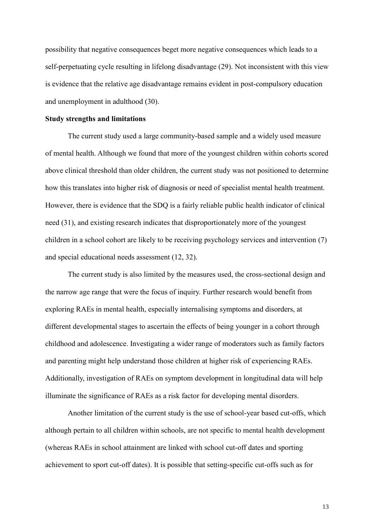possibility that negative consequences beget more negative consequences which leads to a self-perpetuating cycle resulting in lifelong disadvantage [\(29\)](#page-16-8). Not inconsistent with this view is evidence that the relative age disadvantage remains evident in post-compulsory education and unemployment in adulthood [\(30\)](#page-16-9).

#### **Study strengths and limitations**

The current study used a large community-based sample and a widely used measure of mental health. Although we found that more of the youngest children within cohorts scored above clinical threshold than older children, the current study was not positioned to determine how this translates into higher risk of diagnosis or need of specialist mental health treatment. However, there is evidence that the SDQ is a fairly reliable public health indicator of clinical need [\(31\)](#page-16-10), and existing research indicates that disproportionately more of the youngest children in a school cohort are likely to be receiving psychology services and intervention [\(7\)](#page-15-4) and special educational needs assessment [\(12,](#page-15-16) [32\)](#page-16-11).

The current study is also limited by the measures used, the cross-sectional design and the narrow age range that were the focus of inquiry. Further research would benefit from exploring RAEs in mental health, especially internalising symptoms and disorders, at different developmental stages to ascertain the effects of being younger in a cohort through childhood and adolescence. Investigating a wider range of moderators such as family factors and parenting might help understand those children at higher risk of experiencing RAEs. Additionally, investigation of RAEs on symptom development in longitudinal data will help illuminate the significance of RAEs as a risk factor for developing mental disorders.

Another limitation of the current study is the use of school-year based cut-offs, which although pertain to all children within schools, are not specific to mental health development (whereas RAEs in school attainment are linked with school cut-off dates and sporting achievement to sport cut-off dates). It is possible that setting-specific cut-offs such as for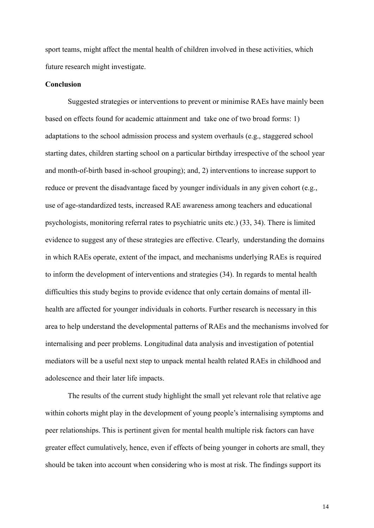sport teams, might affect the mental health of children involved in these activities, which future research might investigate.

### **Conclusion**

Suggested strategies or interventions to prevent or minimise RAEs have mainly been based on effects found for academic attainment and take one of two broad forms: 1) adaptations to the school admission process and system overhauls (e.g., staggered school starting dates, children starting school on a particular birthday irrespective of the school year and month-of-birth based in-school grouping); and, 2) interventions to increase support to reduce or prevent the disadvantage faced by younger individuals in any given cohort (e.g., use of age-standardized tests, increased RAE awareness among teachers and educational psychologists, monitoring referral rates to psychiatric units etc.) [\(33,](#page-16-12) [34\)](#page-16-13). There is limited evidence to suggest any of these strategies are effective. Clearly, understanding the domains in which RAEs operate, extent of the impact, and mechanisms underlying RAEs is required to inform the development of interventions and strategies [\(34\)](#page-16-13). In regards to mental health difficulties this study begins to provide evidence that only certain domains of mental illhealth are affected for younger individuals in cohorts. Further research is necessary in this area to help understand the developmental patterns of RAEs and the mechanisms involved for internalising and peer problems. Longitudinal data analysis and investigation of potential mediators will be a useful next step to unpack mental health related RAEs in childhood and adolescence and their later life impacts.

The results of the current study highlight the small yet relevant role that relative age within cohorts might play in the development of young people's internalising symptoms and peer relationships. This is pertinent given for mental health multiple risk factors can have greater effect cumulatively, hence, even if effects of being younger in cohorts are small, they should be taken into account when considering who is most at risk. The findings support its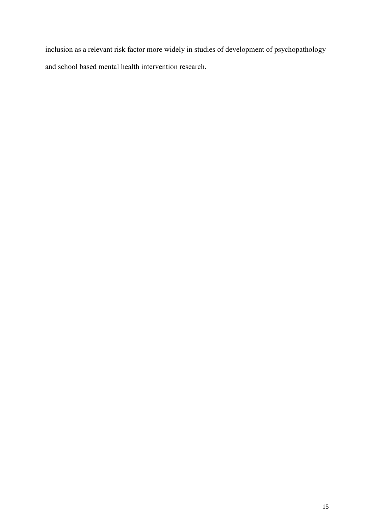inclusion as a relevant risk factor more widely in studies of development of psychopathology and school based mental health intervention research.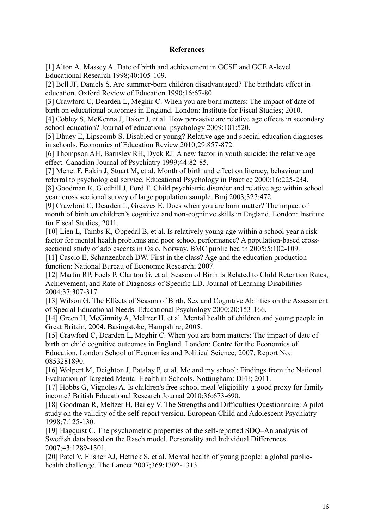## **References**

<span id="page-15-0"></span>[1] Alton A, Massey A. Date of birth and achievement in GCSE and GCE A‐level. Educational Research 1998;40:105-109.

[2] Bell JF, Daniels S. Are summer-born children disadvantaged? The birthdate effect in education. Oxford Review of Education 1990;16:67-80.

[3] Crawford C, Dearden L, Meghir C. When you are born matters: The impact of date of birth on educational outcomes in England. London: Institute for Fiscal Studies; 2010.

<span id="page-15-1"></span>[4] Cobley S, McKenna J, Baker J, et al. How pervasive are relative age effects in secondary school education? Journal of educational psychology 2009;101:520.

<span id="page-15-2"></span>[5] Dhuey E, Lipscomb S. Disabled or young? Relative age and special education diagnoses in schools. Economics of Education Review 2010;29:857-872.

<span id="page-15-3"></span>[6] Thompson AH, Barnsley RH, Dyck RJ. A new factor in youth suicide: the relative age effect. Canadian Journal of Psychiatry 1999;44:82-85.

<span id="page-15-4"></span>[7] Menet F, Eakin J, Stuart M, et al. Month of birth and effect on literacy, behaviour and referral to psychological service. Educational Psychology in Practice 2000;16:225-234.

<span id="page-15-5"></span>[8] Goodman R, Gledhill J, Ford T. Child psychiatric disorder and relative age within school year: cross sectional survey of large population sample. Bmj 2003;327:472.

<span id="page-15-6"></span>[9] Crawford C, Dearden L, Greaves E. Does when you are born matter? The impact of month of birth on children's cognitive and non-cognitive skills in England. London: Institute for Fiscal Studies; 2011.

<span id="page-15-7"></span>[10] Lien L, Tambs K, Oppedal B, et al. Is relatively young age within a school year a risk factor for mental health problems and poor school performance? A population-based crosssectional study of adolescents in Oslo, Norway. BMC public health 2005;5:102-109.

<span id="page-15-8"></span>[11] Cascio E, Schanzenbach DW. First in the class? Age and the education production function: National Bureau of Economic Research; 2007.

<span id="page-15-16"></span>[12] Martin RP, Foels P, Clanton G, et al. Season of Birth Is Related to Child Retention Rates, Achievement, and Rate of Diagnosis of Specific LD. Journal of Learning Disabilities 2004;37:307-317.

[13] Wilson G. The Effects of Season of Birth, Sex and Cognitive Abilities on the Assessment of Special Educational Needs. Educational Psychology 2000;20:153-166.

<span id="page-15-9"></span>[14] Green H, McGinnity A, Meltzer H, et al. Mental health of children and young people in Great Britain, 2004. Basingstoke, Hampshire; 2005.

<span id="page-15-10"></span>[15] Crawford C, Dearden L, Meghir C. When you are born matters: The impact of date of birth on child cognitive outcomes in England. London: Centre for the Economics of Education, London School of Economics and Political Science; 2007. Report No.: 0853281890.

<span id="page-15-11"></span>[16] Wolpert M, Deighton J, Patalay P, et al. Me and my school: Findings from the National Evaluation of Targeted Mental Health in Schools. Nottingham: DFE; 2011.

<span id="page-15-12"></span>[17] Hobbs G, Vignoles A. Is children's free school meal 'eligibility' a good proxy for family income? British Educational Research Journal 2010;36:673-690.

<span id="page-15-13"></span>[18] Goodman R, Meltzer H, Bailey V. The Strengths and Difficulties Questionnaire: A pilot study on the validity of the self-report version. European Child and Adolescent Psychiatry 1998;7:125-130.

<span id="page-15-14"></span>[19] Hagquist C. The psychometric properties of the self-reported SDQ–An analysis of Swedish data based on the Rasch model. Personality and Individual Differences 2007;43:1289-1301.

<span id="page-15-15"></span>[20] Patel V, Flisher AJ, Hetrick S, et al. Mental health of young people: a global publichealth challenge. The Lancet 2007;369:1302-1313.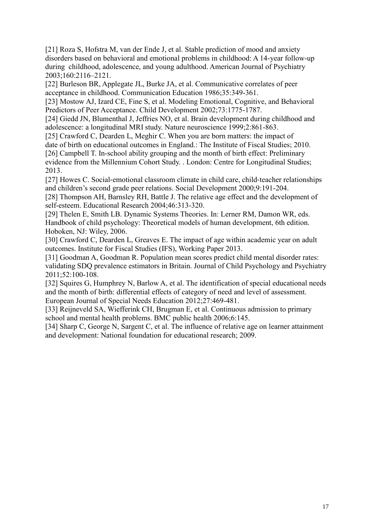<span id="page-16-0"></span>[21] Roza S, Hofstra M, van der Ende J, et al. Stable prediction of mood and anxiety disorders based on behavioral and emotional problems in childhood: A 14-year follow-up during childhood, adolescence, and young adulthood. American Journal of Psychiatry 2003;160:2116–2121.

<span id="page-16-1"></span>[22] Burleson BR, Applegate JL, Burke JA, et al. Communicative correlates of peer acceptance in childhood. Communication Education 1986;35:349-361.

<span id="page-16-2"></span>[23] Mostow AJ, Izard CE, Fine S, et al. Modeling Emotional, Cognitive, and Behavioral Predictors of Peer Acceptance. Child Development 2002;73:1775-1787.

<span id="page-16-3"></span>[24] Giedd JN, Blumenthal J, Jeffries NO, et al. Brain development during childhood and adolescence: a longitudinal MRI study. Nature neuroscience 1999;2:861-863.

<span id="page-16-5"></span><span id="page-16-4"></span>[25] Crawford C, Dearden L, Meghir C. When you are born matters: the impact of date of birth on educational outcomes in England.: The Institute of Fiscal Studies; 2010. [26] Campbell T. In-school ability grouping and the month of birth effect: Preliminary evidence from the Millennium Cohort Study. . London: Centre for Longitudinal Studies; 2013.

<span id="page-16-6"></span>[27] Howes C. Social-emotional classroom climate in child care, child-teacher relationships and children's second grade peer relations. Social Development 2000;9:191-204.

<span id="page-16-7"></span>[28] Thompson AH, Barnsley RH, Battle J. The relative age effect and the development of self-esteem. Educational Research 2004;46:313-320.

<span id="page-16-8"></span>[29] Thelen E, Smith LB. Dynamic Systems Theories. In: Lerner RM, Damon WR, eds. Handbook of child psychology: Theoretical models of human development, 6th edition. Hoboken, NJ: Wiley, 2006.

<span id="page-16-9"></span>[30] Crawford C, Dearden L, Greaves E. The impact of age within academic year on adult outcomes. Institute for Fiscal Studies (IFS), Working Paper 2013.

<span id="page-16-10"></span>[31] Goodman A, Goodman R. Population mean scores predict child mental disorder rates: validating SDQ prevalence estimators in Britain. Journal of Child Psychology and Psychiatry 2011;52:100-108.

<span id="page-16-11"></span>[32] Squires G, Humphrey N, Barlow A, et al. The identification of special educational needs and the month of birth: differential effects of category of need and level of assessment. European Journal of Special Needs Education 2012;27:469-481.

<span id="page-16-12"></span>[33] Reijneveld SA, Wiefferink CH, Brugman E, et al. Continuous admission to primary school and mental health problems. BMC public health 2006;6:145.

<span id="page-16-13"></span>[34] Sharp C, George N, Sargent C, et al. The influence of relative age on learner attainment and development: National foundation for educational research; 2009.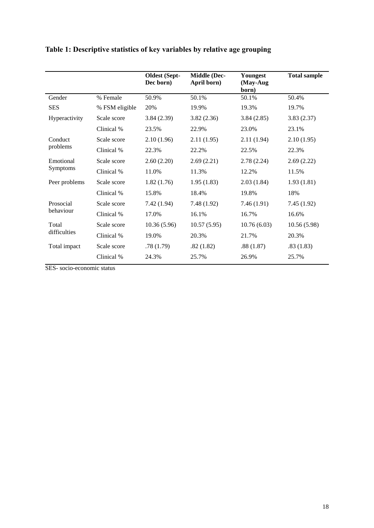|                              |                | <b>Oldest</b> (Sept-<br>Dec born) | <b>Middle (Dec-</b><br>April born) | Youngest<br>(May-Aug<br>born) | <b>Total sample</b> |  |
|------------------------------|----------------|-----------------------------------|------------------------------------|-------------------------------|---------------------|--|
| Gender                       | % Female       | 50.9%                             | 50.1%                              | 50.1%                         | 50.4%               |  |
| <b>SES</b>                   | % FSM eligible | 20%                               | 19.9%                              | 19.3%                         | 19.7%               |  |
| Hyperactivity                | Scale score    | 3.84(2.39)                        | 3.82(2.36)                         | 3.84(2.85)                    | 3.83(2.37)          |  |
|                              | Clinical %     | 23.5%                             | 22.9%                              | 23.0%                         | 23.1%               |  |
| Conduct<br>problems          | Scale score    | 2.10(1.96)                        | 2.11(1.95)                         | 2.11(1.94)                    | 2.10(1.95)          |  |
|                              | Clinical %     | 22.3%                             | 22.2%                              | 22.5%                         | 22.3%               |  |
| Emotional<br><b>Symptoms</b> | Scale score    | 2.60(2.20)                        | 2.69(2.21)                         | 2.78(2.24)                    | 2.69(2.22)          |  |
|                              | Clinical %     | 11.0%                             | 11.3%                              | 12.2%                         | 11.5%               |  |
| Peer problems                | Scale score    | 1.82(1.76)                        | 1.95(1.83)                         | 2.03(1.84)                    | 1.93(1.81)          |  |
|                              | Clinical %     | 15.8%                             | 18.4%                              | 19.8%                         | 18%                 |  |
| Prosocial<br>behaviour       | Scale score    | 7.42(1.94)                        | 7.48(1.92)                         | 7.46(1.91)                    | 7.45(1.92)          |  |
|                              | Clinical %     | 17.0%                             | 16.1%                              | 16.7%                         | 16.6%               |  |
| Total<br>difficulties        | Scale score    | 10.36(5.96)                       | 10.57(5.95)                        | 10.76(6.03)                   | 10.56(5.98)         |  |
|                              | Clinical %     | 19.0%                             | 20.3%                              | 21.7%                         | 20.3%               |  |
| Total impact                 | Scale score    | .78(1.79)                         | .82(1.82)                          | .88(1.87)                     | .83(1.83)           |  |
|                              | Clinical %     | 24.3%                             | 25.7%                              | 26.9%                         | 25.7%               |  |

## **Table 1: Descriptive statistics of key variables by relative age grouping**

SES- socio-economic status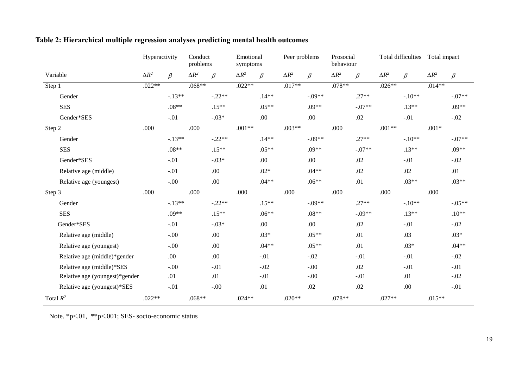|                                | Hyperactivity |          | Conduct<br>problems |          | Emotional<br>symptoms |          | Peer problems |          | Prosocial<br>behaviour |          |              | <b>Total difficulties</b> | Total impact |          |
|--------------------------------|---------------|----------|---------------------|----------|-----------------------|----------|---------------|----------|------------------------|----------|--------------|---------------------------|--------------|----------|
| Variable                       | $\Delta R^2$  | $\beta$  | $\Delta R^2$        | $\beta$  | $\Delta R^2$          | $\beta$  | $\Delta R^2$  | $\beta$  | $\Delta R^2$           | $\beta$  | $\Delta R^2$ | $\beta$                   | $\Delta R^2$ | $\beta$  |
| Step 1                         | $.022**$      |          | $.068**$            |          | $.022**$              |          | $.017**$      |          | $.078**$               |          | $.026**$     |                           | $.014**$     |          |
| Gender                         |               | $-.13**$ |                     | $-.22**$ |                       | $.14**$  |               | $-.09**$ |                        | $.27**$  |              | $-.10**$                  |              | $-.07**$ |
| <b>SES</b>                     |               | $.08**$  |                     | $.15**$  |                       | $.05**$  |               | .09**    |                        | $-.07**$ |              | $.13**$                   |              | $.09**$  |
| Gender*SES                     |               | $-.01$   |                     | $-.03*$  |                       | .00      |               | .00      |                        | .02      |              | $-.01$                    |              | $-.02$   |
| Step 2                         | .000          |          | .000                |          | $.001**$              |          | $.003**$      |          | .000                   |          | $.001**$     |                           | $.001*$      |          |
| Gender                         |               | $-.13**$ |                     | $-.22**$ |                       | $.14**$  |               | $-.09**$ |                        | $.27**$  |              | $-.10**$                  |              | $-.07**$ |
| <b>SES</b>                     |               | $.08**$  |                     | $.15**$  |                       | $.05**$  |               | $.09**$  |                        | $-.07**$ |              | $.13**$                   |              | $.09**$  |
| Gender*SES                     |               | $-.01$   |                     | $-.03*$  |                       | .00      |               | .00.     |                        | .02      |              | $-.01$                    |              | $-.02$   |
| Relative age (middle)          |               | $-.01$   |                     | .00      |                       | $.02*$   |               | $.04**$  |                        | .02      |              | .02                       |              | .01      |
| Relative age (youngest)        |               | $-.00$   |                     | .00      |                       | $.04**$  |               | $.06**$  |                        | .01      |              | $.03**$                   |              | $.03**$  |
| Step 3                         | .000          |          | .000                |          | .000                  |          | .000          |          | .000                   |          | .000         |                           | .000         |          |
| Gender                         |               | $-.13**$ |                     | $-.22**$ |                       | $.15***$ |               | $-.09**$ |                        | $.27**$  |              | $-.10**$                  |              | $-.05**$ |
| <b>SES</b>                     |               | $.09**$  |                     | $.15**$  |                       | $.06**$  |               | $.08**$  |                        | $-.09**$ |              | $.13**$                   |              | $.10**$  |
| Gender*SES                     |               | $-.01$   |                     | $-.03*$  |                       | .00      |               | .00      |                        | .02      |              | $-.01$                    |              | $-.02$   |
| Relative age (middle)          |               | $-.00$   |                     | .00      |                       | $.03*$   |               | $.05**$  |                        | .01      |              | .03                       |              | $.03*$   |
| Relative age (youngest)        |               | $-.00$   |                     | .00      |                       | $.04**$  |               | $.05**$  |                        | .01      |              | $.03*$                    |              | $.04**$  |
| Relative age (middle)*gender   |               | .00      |                     | .00      |                       | $-.01$   |               | $-.02$   |                        | $-.01$   |              | $-.01$                    |              | $-.02$   |
| Relative age (middle)*SES      |               | $-.00.$  |                     | $-.01$   |                       | $-.02$   |               | $-.00$   |                        | .02      |              | $-.01$                    |              | $-.01$   |
| Relative age (youngest)*gender |               | .01      |                     | .01      |                       | $-.01$   |               | $-.00$   |                        | $-.01$   |              | .01                       |              | $-.02$   |
| Relative age (youngest)*SES    |               | $-.01$   |                     | $-.00$   |                       | .01      |               | .02      |                        | .02      |              | .00                       |              | $-.01$   |
| Total $R^2$                    | $.022**$      |          | $.068**$            |          | $.024**$              |          | $.020**$      |          | $.078**$               |          | $.027**$     |                           | $.015**$     |          |

**Table 2: Hierarchical multiple regression analyses predicting mental health outcomes**

Note. \*p<.01, \*\*p<.001; SES- socio-economic status